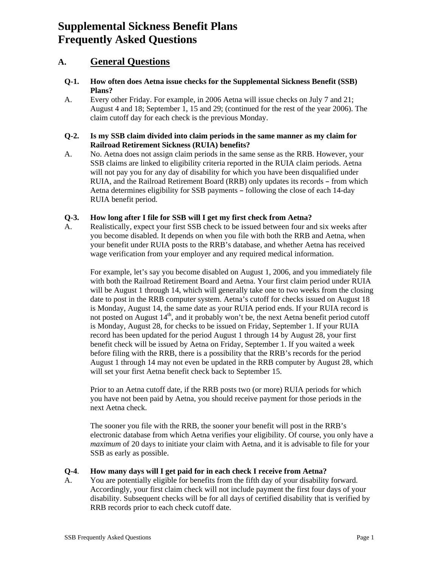# **Supplemental Sickness Benefit Plans Frequently Asked Questions**

# **A. General Questions**

- **Q-1. How often does Aetna issue checks for the Supplemental Sickness Benefit (SSB) Plans?**
- A. Every other Friday. For example, in 2006 Aetna will issue checks on July 7 and 21; August 4 and 18; September 1, 15 and 29; (continued for the rest of the year 2006). The claim cutoff day for each check is the previous Monday.

### **Q-2. Is my SSB claim divided into claim periods in the same manner as my claim for Railroad Retirement Sickness (RUIA) benefits?**

A. No. Aetna does not assign claim periods in the same sense as the RRB. However, your SSB claims are linked to eligibility criteria reported in the RUIA claim periods. Aetna will not pay you for any day of disability for which you have been disqualified under RUIA, and the Railroad Retirement Board (RRB) only updates its records - from which Aetna determines eligibility for SSB payments – following the close of each 14-day RUIA benefit period.

# **Q-3. How long after I file for SSB will I get my first check from Aetna?**

A. Realistically, expect your first SSB check to be issued between four and six weeks after you become disabled. It depends on when you file with both the RRB and Aetna, when your benefit under RUIA posts to the RRB's database, and whether Aetna has received wage verification from your employer and any required medical information.

For example, let's say you become disabled on August 1, 2006, and you immediately file with both the Railroad Retirement Board and Aetna. Your first claim period under RUIA will be August 1 through 14, which will generally take one to two weeks from the closing date to post in the RRB computer system. Aetna's cutoff for checks issued on August 18 is Monday, August 14, the same date as your RUIA period ends. If your RUIA record is not posted on August  $14<sup>th</sup>$ , and it probably won't be, the next Aetna benefit period cutoff is Monday, August 28, for checks to be issued on Friday, September 1. If your RUIA record has been updated for the period August 1 through 14 by August 28, your first benefit check will be issued by Aetna on Friday, September 1. If you waited a week before filing with the RRB, there is a possibility that the RRB's records for the period August 1 through 14 may not even be updated in the RRB computer by August 28, which will set your first Aetna benefit check back to September 15.

Prior to an Aetna cutoff date, if the RRB posts two (or more) RUIA periods for which you have not been paid by Aetna, you should receive payment for those periods in the next Aetna check.

The sooner you file with the RRB, the sooner your benefit will post in the RRB's electronic database from which Aetna verifies your eligibility. Of course, you only have a *maximum* of 20 days to initiate your claim with Aetna, and it is advisable to file for your SSB as early as possible.

### **Q-4**. **How many days will I get paid for in each check I receive from Aetna?**

A. You are potentially eligible for benefits from the fifth day of your disability forward. Accordingly, your first claim check will not include payment the first four days of your disability. Subsequent checks will be for all days of certified disability that is verified by RRB records prior to each check cutoff date.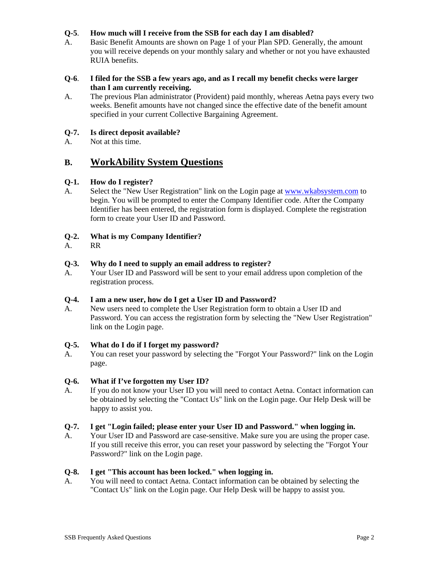# **Q-5**. **How much will I receive from the SSB for each day I am disabled?**

A. Basic Benefit Amounts are shown on Page 1 of your Plan SPD. Generally, the amount you will receive depends on your monthly salary and whether or not you have exhausted RUIA benefits.

### **Q-6**. **I filed for the SSB a few years ago, and as I recall my benefit checks were larger than I am currently receiving.**

A. The previous Plan administrator (Provident) paid monthly, whereas Aetna pays every two weeks. Benefit amounts have not changed since the effective date of the benefit amount specified in your current Collective Bargaining Agreement.

# **Q-7. Is direct deposit available?**

A. Not at this time.

# **B. WorkAbility System Questions**

# **Q-1. How do I register?**

A. Select the "New User Registration" link on the Login page at [www.wkabsystem.com](http://www.wkabsystem.com/) to begin. You will be prompted to enter the Company Identifier code. After the Company Identifier has been entered, the registration form is displayed. Complete the registration form to create your User ID and Password.

# **Q-2. What is my Company Identifier?**

A. RR

### **Q-3. Why do I need to supply an email address to register?**

A. Your User ID and Password will be sent to your email address upon completion of the registration process.

### **Q-4. I am a new user, how do I get a User ID and Password?**

A. New users need to complete the User Registration form to obtain a User ID and Password. You can access the registration form by selecting the "New User Registration" link on the Login page.

### **Q-5. What do I do if I forget my password?**

A. You can reset your password by selecting the "Forgot Your Password?" link on the Login page.

### **Q-6. What if I've forgotten my User ID?**

A. If you do not know your User ID you will need to contact Aetna. Contact information can be obtained by selecting the "Contact Us" link on the Login page. Our Help Desk will be happy to assist you.

### **Q-7. I get "Login failed; please enter your User ID and Password." when logging in.**

A. Your User ID and Password are case-sensitive. Make sure you are using the proper case. If you still receive this error, you can reset your password by selecting the "Forgot Your Password?" link on the Login page.

### **Q-8. I get "This account has been locked." when logging in.**

A. You will need to contact Aetna. Contact information can be obtained by selecting the "Contact Us" link on the Login page. Our Help Desk will be happy to assist you.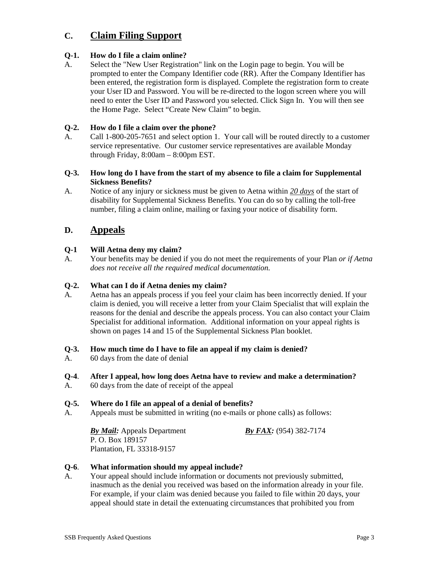# **C. Claim Filing Support**

# **Q-1. How do I file a claim online?**

A. Select the "New User Registration" link on the Login page to begin. You will be prompted to enter the Company Identifier code (RR). After the Company Identifier has been entered, the registration form is displayed. Complete the registration form to create your User ID and Password. You will be re-directed to the logon screen where you will need to enter the User ID and Password you selected. Click Sign In. You will then see the Home Page. Select "Create New Claim" to begin.

# **Q-2. How do I file a claim over the phone?**

A. Call 1-800-205-7651 and select option 1. Your call will be routed directly to a customer service representative. Our customer service representatives are available Monday through Friday, 8:00am – 8:00pm EST.

#### **Q-3. How long do I have from the start of my absence to file a claim for Supplemental Sickness Benefits?**

A. Notice of any injury or sickness must be given to Aetna within *20 days* of the start of disability for Supplemental Sickness Benefits. You can do so by calling the toll-free number, filing a claim online, mailing or faxing your notice of disability form.

# **D. Appeals**

# **Q-1 Will Aetna deny my claim?**

A. Your benefits may be denied if you do not meet the requirements of your Plan *or if Aetna does not receive all the required medical documentation.* 

### **Q-2. What can I do if Aetna denies my claim?**

A*.* Aetna has an appeals process if you feel your claim has been incorrectly denied. If your claim is denied, you will receive a letter from your Claim Specialist that will explain the reasons for the denial and describe the appeals process. You can also contact your Claim Specialist for additional information. Additional information on your appeal rights is shown on pages 14 and 15 of the Supplemental Sickness Plan booklet.

### **Q-3. How much time do I have to file an appeal if my claim is denied?**

A. 60 days from the date of denial

# **Q-4**. **After I appeal, how long does Aetna have to review and make a determination?**

A. 60 days from the date of receipt of the appeal

### **Q-5. Where do I file an appeal of a denial of benefits?**

A. Appeals must be submitted in writing (no e-mails or phone calls) as follows:

*By Mail:* Appeals Department *By FAX:* (954) 382-7174 P. O. Box 189157 Plantation, FL 33318-9157

# **Q-6**. **What information should my appeal include?**

A. Your appeal should include information or documents not previously submitted, inasmuch as the denial you received was based on the information already in your file. For example, if your claim was denied because you failed to file within 20 days, your appeal should state in detail the extenuating circumstances that prohibited you from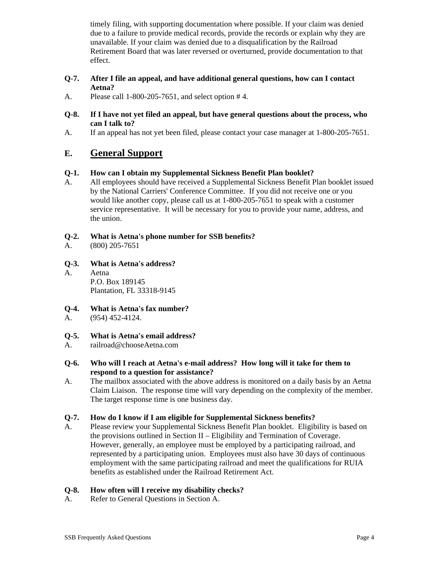timely filing, with supporting documentation where possible. If your claim was denied due to a failure to provide medical records, provide the records or explain why they are unavailable. If your claim was denied due to a disqualification by the Railroad Retirement Board that was later reversed or overturned, provide documentation to that effect.

- **Q-7. After I file an appeal, and have additional general questions, how can I contact Aetna?**
- A. Please call 1-800-205-7651, and select option # 4.
- **Q-8. If I have not yet filed an appeal, but have general questions about the process, who can I talk to?**
- A. If an appeal has not yet been filed, please contact your case manager at 1-800-205-7651.

# **E. General Support**

# **Q-1. How can I obtain my Supplemental Sickness Benefit Plan booklet?**

A. All employees should have received a Supplemental Sickness Benefit Plan booklet issued by the National Carriers' Conference Committee. If you did not receive one or you would like another copy, please call us at 1-800-205-7651 to speak with a customer service representative. It will be necessary for you to provide your name, address, and the union.

# **Q-2. What is Aetna's phone number for SSB benefits?**

- A. (800) 205-7651
- **Q-3. What is Aetna's address?**
- A. Aetna P.O. Box 189145 Plantation, FL 33318-9145

### **Q-4. What is Aetna's fax number?**

A. (954) 452-4124.

### **Q-5. What is Aetna's email address?**

- A. railroad@chooseAetna.com
- **Q-6. Who will I reach at Aetna's e-mail address? How long will it take for them to respond to a question for assistance?**
- A. The mailbox associated with the above address is monitored on a daily basis by an Aetna Claim Liaison. The response time will vary depending on the complexity of the member. The target response time is one business day.

### **Q-7. How do I know if I am eligible for Supplemental Sickness benefits?**

A. Please review your Supplemental Sickness Benefit Plan booklet. Eligibility is based on the provisions outlined in Section II – Eligibility and Termination of Coverage. However, generally, an employee must be employed by a participating railroad, and represented by a participating union. Employees must also have 30 days of continuous employment with the same participating railroad and meet the qualifications for RUIA benefits as established under the Railroad Retirement Act.

### **Q-8. How often will I receive my disability checks?**

A. Refer to General Questions in Section A.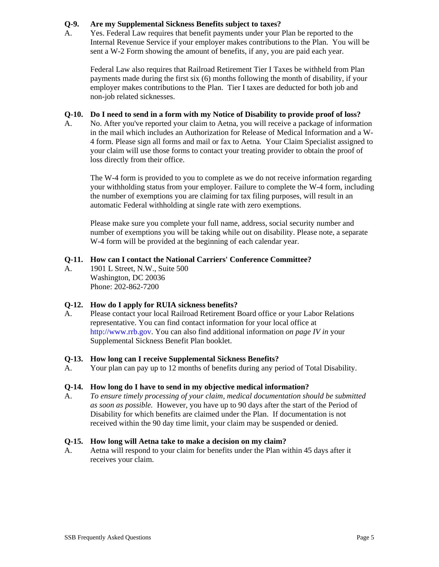# **Q-9. Are my Supplemental Sickness Benefits subject to taxes?**

A. Yes. Federal Law requires that benefit payments under your Plan be reported to the Internal Revenue Service if your employer makes contributions to the Plan. You will be sent a W-2 Form showing the amount of benefits, if any, you are paid each year.

 Federal Law also requires that Railroad Retirement Tier I Taxes be withheld from Plan payments made during the first six (6) months following the month of disability, if your employer makes contributions to the Plan. Tier I taxes are deducted for both job and non-job related sicknesses.

### **Q-10. Do I need to send in a form with my Notice of Disability to provide proof of loss?**

A. No. After you've reported your claim to Aetna*,* you will receive a package of information in the mail which includes an Authorization for Release of Medical Information and a W-4 form. Please sign all forms and mail or fax to Aetna*.* Your Claim Specialist assigned to your claim will use those forms to contact your treating provider to obtain the proof of loss directly from their office.

 The W-4 form is provided to you to complete as we do not receive information regarding your withholding status from your employer. Failure to complete the W-4 form, including the number of exemptions you are claiming for tax filing purposes, will result in an automatic Federal withholding at single rate with zero exemptions.

 Please make sure you complete your full name, address, social security number and number of exemptions you will be taking while out on disability. Please note, a separate W-4 form will be provided at the beginning of each calendar year.

# **Q-11. How can I contact the National Carriers' Conference Committee?**

A. 1901 L Street, N.W., Suite 500 Washington, DC 20036 Phone: 202-862-7200

### **Q-12. How do I apply for RUIA sickness benefits?**

A. Please contact your local Railroad Retirement Board office or your Labor Relations representative. You can find contact information for your local office at http://www.rrb.gov. You can also find additional information *on page IV in* your Supplemental Sickness Benefit Plan booklet.

### **Q-13. How long can I receive Supplemental Sickness Benefits?**

A. Your plan can pay up to 12 months of benefits during any period of Total Disability.

### **Q-14. How long do I have to send in my objective medical information?**

A. *To ensure timely processing of your claim, medical documentation should be submitted as soon as possible.* However, you have up to 90 days after the start of the Period of Disability for which benefits are claimed under the Plan. If documentation is not received within the 90 day time limit, your claim may be suspended or denied.

### **Q-15. How long will Aetna take to make a decision on my claim?**

A. Aetna will respond to your claim for benefits under the Plan within 45 days after it receives your claim.